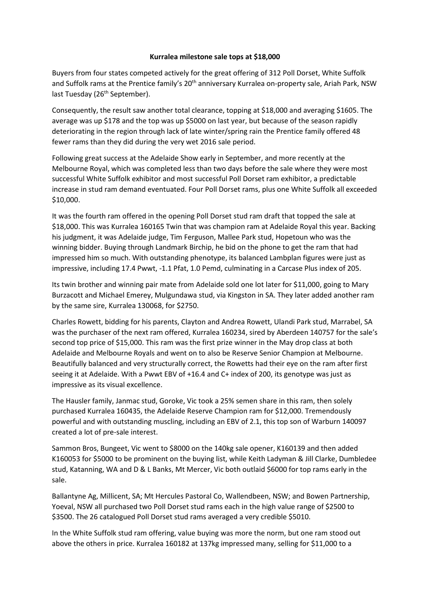## **Kurralea milestone sale tops at \$18,000**

Buyers from four states competed actively for the great offering of 312 Poll Dorset, White Suffolk and Suffolk rams at the Prentice family's 20<sup>th</sup> anniversary Kurralea on-property sale. Ariah Park, NSW last Tuesday (26<sup>th</sup> September).

Consequently, the result saw another total clearance, topping at \$18,000 and averaging \$1605. The average was up \$178 and the top was up \$5000 on last year, but because of the season rapidly deteriorating in the region through lack of late winter/spring rain the Prentice family offered 48 fewer rams than they did during the very wet 2016 sale period.

Following great success at the Adelaide Show early in September, and more recently at the Melbourne Royal, which was completed less than two days before the sale where they were most successful White Suffolk exhibitor and most successful Poll Dorset ram exhibitor, a predictable increase in stud ram demand eventuated. Four Poll Dorset rams, plus one White Suffolk all exceeded \$10,000.

It was the fourth ram offered in the opening Poll Dorset stud ram draft that topped the sale at \$18,000. This was Kurralea 160165 Twin that was champion ram at Adelaide Royal this year. Backing his judgment, it was Adelaide judge, Tim Ferguson, Mallee Park stud, Hopetoun who was the winning bidder. Buying through Landmark Birchip, he bid on the phone to get the ram that had impressed him so much. With outstanding phenotype, its balanced Lambplan figures were just as impressive, including 17.4 Pwwt, -1.1 Pfat, 1.0 Pemd, culminating in a Carcase Plus index of 205.

Its twin brother and winning pair mate from Adelaide sold one lot later for \$11,000, going to Mary Burzacott and Michael Emerey, Mulgundawa stud, via Kingston in SA. They later added another ram by the same sire, Kurralea 130068, for \$2750.

Charles Rowett, bidding for his parents, Clayton and Andrea Rowett, Ulandi Park stud, Marrabel, SA was the purchaser of the next ram offered, Kurralea 160234, sired by Aberdeen 140757 for the sale's second top price of \$15,000. This ram was the first prize winner in the May drop class at both Adelaide and Melbourne Royals and went on to also be Reserve Senior Champion at Melbourne. Beautifully balanced and very structurally correct, the Rowetts had their eye on the ram after first seeing it at Adelaide. With a Pwwt EBV of +16.4 and C+ index of 200, its genotype was just as impressive as its visual excellence.

The Hausler family, Janmac stud, Goroke, Vic took a 25% semen share in this ram, then solely purchased Kurralea 160435, the Adelaide Reserve Champion ram for \$12,000. Tremendously powerful and with outstanding muscling, including an EBV of 2.1, this top son of Warburn 140097 created a lot of pre-sale interest.

Sammon Bros, Bungeet, Vic went to \$8000 on the 140kg sale opener, K160139 and then added K160053 for \$5000 to be prominent on the buying list, while Keith Ladyman & Jill Clarke, Dumbledee stud, Katanning, WA and D & L Banks, Mt Mercer, Vic both outlaid \$6000 for top rams early in the sale.

Ballantyne Ag, Millicent, SA; Mt Hercules Pastoral Co, Wallendbeen, NSW; and Bowen Partnership, Yoeval, NSW all purchased two Poll Dorset stud rams each in the high value range of \$2500 to \$3500. The 26 catalogued Poll Dorset stud rams averaged a very credible \$5010.

In the White Suffolk stud ram offering, value buying was more the norm, but one ram stood out above the others in price. Kurralea 160182 at 137kg impressed many, selling for \$11,000 to a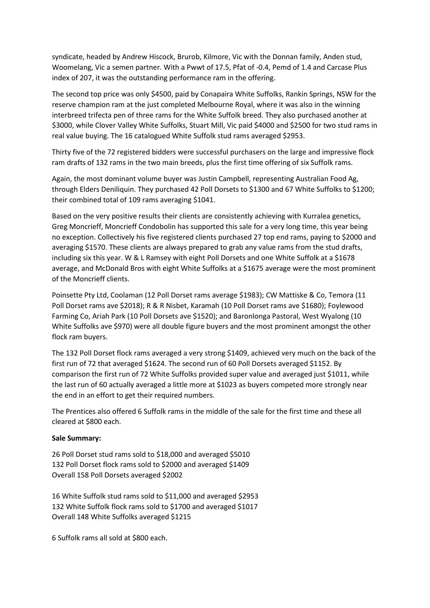syndicate, headed by Andrew Hiscock, Brurob, Kilmore, Vic with the Donnan family, Anden stud, Woomelang, Vic a semen partner. With a Pwwt of 17.5, Pfat of -0.4, Pemd of 1.4 and Carcase Plus index of 207, it was the outstanding performance ram in the offering.

The second top price was only \$4500, paid by Conapaira White Suffolks, Rankin Springs, NSW for the reserve champion ram at the just completed Melbourne Royal, where it was also in the winning interbreed trifecta pen of three rams for the White Suffolk breed. They also purchased another at \$3000, while Clover Valley White Suffolks, Stuart Mill, Vic paid \$4000 and \$2500 for two stud rams in real value buying. The 16 catalogued White Suffolk stud rams averaged \$2953.

Thirty five of the 72 registered bidders were successful purchasers on the large and impressive flock ram drafts of 132 rams in the two main breeds, plus the first time offering of six Suffolk rams.

Again, the most dominant volume buyer was Justin Campbell, representing Australian Food Ag, through Elders Deniliquin. They purchased 42 Poll Dorsets to \$1300 and 67 White Suffolks to \$1200; their combined total of 109 rams averaging \$1041.

Based on the very positive results their clients are consistently achieving with Kurralea genetics, Greg Moncrieff, Moncrieff Condobolin has supported this sale for a very long time, this year being no exception. Collectively his five registered clients purchased 27 top end rams, paying to \$2000 and averaging \$1570. These clients are always prepared to grab any value rams from the stud drafts, including six this year. W & L Ramsey with eight Poll Dorsets and one White Suffolk at a \$1678 average, and McDonald Bros with eight White Suffolks at a \$1675 average were the most prominent of the Moncrieff clients.

Poinsette Pty Ltd, Coolaman (12 Poll Dorset rams average \$1983); CW Mattiske & Co, Temora (11 Poll Dorset rams ave \$2018); R & R Nisbet, Karamah (10 Poll Dorset rams ave \$1680); Foylewood Farming Co, Ariah Park (10 Poll Dorsets ave \$1520); and Baronlonga Pastoral, West Wyalong (10 White Suffolks ave \$970) were all double figure buyers and the most prominent amongst the other flock ram buyers.

The 132 Poll Dorset flock rams averaged a very strong \$1409, achieved very much on the back of the first run of 72 that averaged \$1624. The second run of 60 Poll Dorsets averaged \$1152. By comparison the first run of 72 White Suffolks provided super value and averaged just \$1011, while the last run of 60 actually averaged a little more at \$1023 as buyers competed more strongly near the end in an effort to get their required numbers.

The Prentices also offered 6 Suffolk rams in the middle of the sale for the first time and these all cleared at \$800 each.

## **Sale Summary:**

26 Poll Dorset stud rams sold to \$18,000 and averaged \$5010 132 Poll Dorset flock rams sold to \$2000 and averaged \$1409 Overall 158 Poll Dorsets averaged \$2002

16 White Suffolk stud rams sold to \$11,000 and averaged \$2953 132 White Suffolk flock rams sold to \$1700 and averaged \$1017 Overall 148 White Suffolks averaged \$1215

6 Suffolk rams all sold at \$800 each.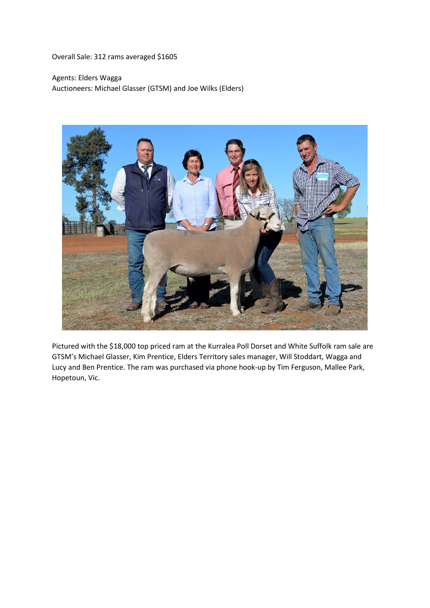Overall Sale: 312 rams averaged \$1605

Agents: Elders Wagga Auctioneers: Michael Glasser (GTSM) and Joe Wilks (Elders)



Pictured with the \$18,000 top priced ram at the Kurralea Poll Dorset and White Suffolk ram sale are GTSM's Michael Glasser, Kim Prentice, Elders Territory sales manager, Will Stoddart, Wagga and Lucy and Ben Prentice. The ram was purchased via phone hook-up by Tim Ferguson, Mallee Park, Hopetoun, Vic.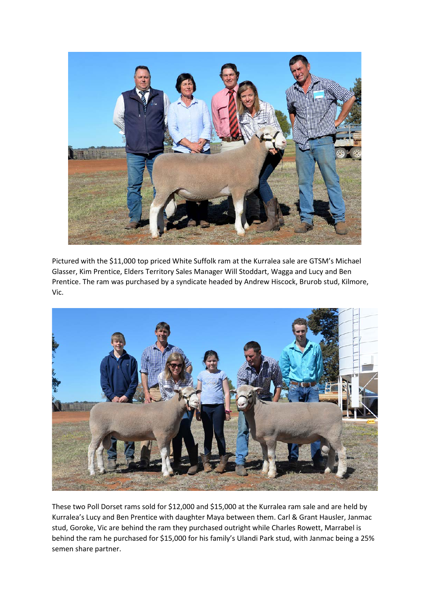

Pictured with the \$11,000 top priced White Suffolk ram at the Kurralea sale are GTSM's Michael Glasser, Kim Prentice, Elders Territory Sales Manager Will Stoddart, Wagga and Lucy and Ben Prentice. The ram was purchased by a syndicate headed by Andrew Hiscock, Brurob stud, Kilmore, Vic.



These two Poll Dorset rams sold for \$12,000 and \$15,000 at the Kurralea ram sale and are held by Kurralea's Lucy and Ben Prentice with daughter Maya between them. Carl & Grant Hausler, Janmac stud, Goroke, Vic are behind the ram they purchased outright while Charles Rowett, Marrabel is behind the ram he purchased for \$15,000 for his family's Ulandi Park stud, with Janmac being a 25% semen share partner.